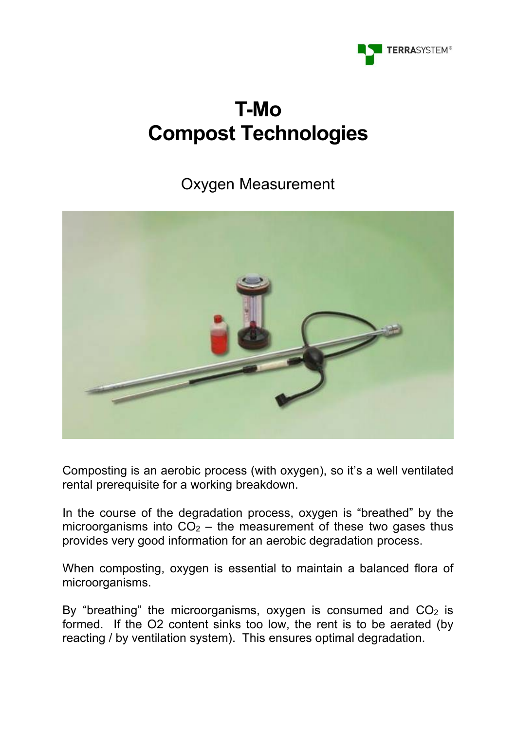

# **T-Mo Compost Technologies**

## Oxygen Measurement



Composting is an aerobic process (with oxygen), so it's a well ventilated rental prerequisite for a working breakdown.

In the course of the degradation process, oxygen is "breathed" by the microorganisms into  $CO<sub>2</sub>$  – the measurement of these two gases thus provides very good information for an aerobic degradation process.

When composting, oxygen is essential to maintain a balanced flora of microorganisms.

By "breathing" the microorganisms, oxygen is consumed and  $CO<sub>2</sub>$  is formed. If the O2 content sinks too low, the rent is to be aerated (by reacting / by ventilation system). This ensures optimal degradation.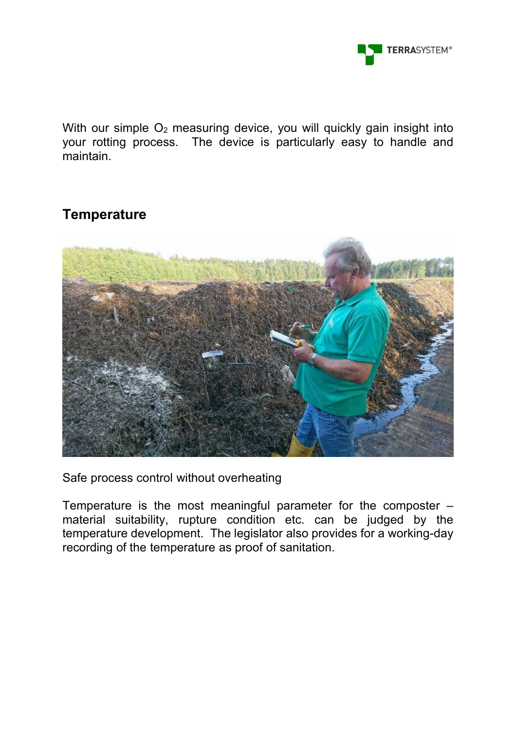

With our simple O<sub>2</sub> measuring device, you will quickly gain insight into your rotting process. The device is particularly easy to handle and maintain.

#### **Temperature**



Safe process control without overheating

Temperature is the most meaningful parameter for the composter – material suitability, rupture condition etc. can be judged by the temperature development. The legislator also provides for a working-day recording of the temperature as proof of sanitation.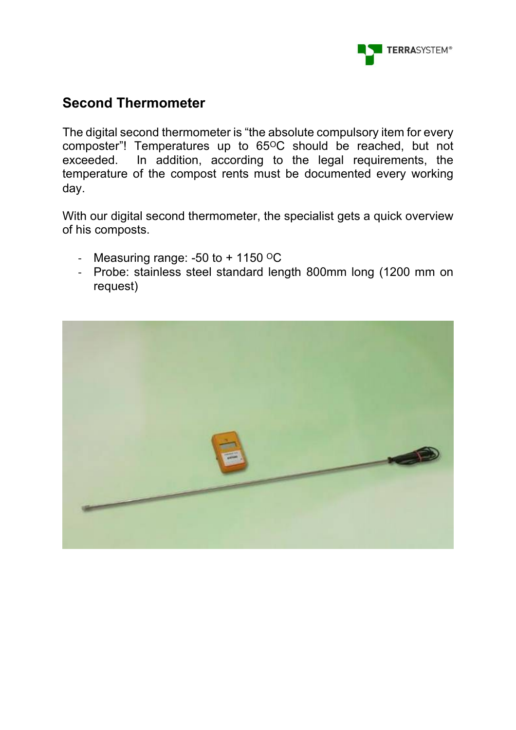

### **Second Thermometer**

The digital second thermometer is "the absolute compulsory item for every composter"! Temperatures up to 65<sup>o</sup>C should be reached, but not exceeded. In addition, according to the legal requirements, the temperature of the compost rents must be documented every working day.

With our digital second thermometer, the specialist gets a quick overview of his composts.

- Measuring range: -50 to  $+$  1150  $\mathrm{^{\circ}C}$
- Probe: stainless steel standard length 800mm long (1200 mm on request)

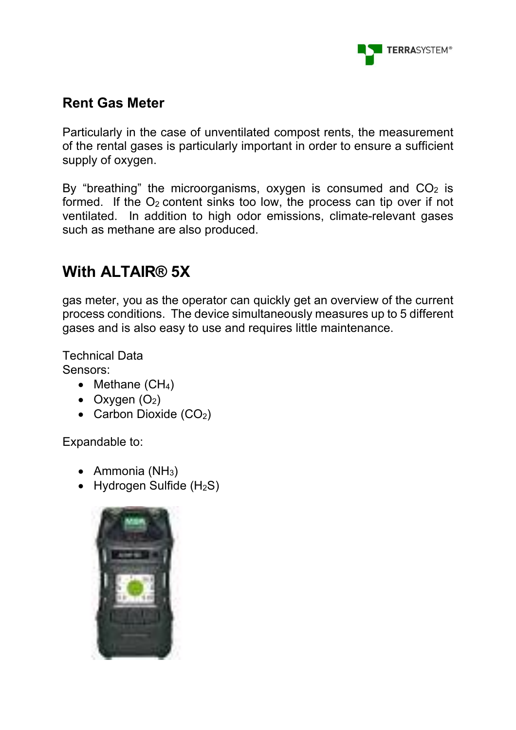

### **Rent Gas Meter**

Particularly in the case of unventilated compost rents, the measurement of the rental gases is particularly important in order to ensure a sufficient supply of oxygen.

By "breathing" the microorganisms, oxygen is consumed and  $CO<sub>2</sub>$  is formed. If the  $O_2$  content sinks too low, the process can tip over if not ventilated. In addition to high odor emissions, climate-relevant gases such as methane are also produced.

# **With ALTAIR® 5X**

gas meter, you as the operator can quickly get an overview of the current process conditions. The device simultaneously measures up to 5 different gases and is also easy to use and requires little maintenance.

Technical Data Sensors:

- Methane  $(CH_4)$
- Oxygen  $(O_2)$
- Carbon Dioxide  $(CO<sub>2</sub>)$

Expandable to:

- Ammonia  $(NH_3)$
- Hydrogen Sulfide  $(H_2S)$

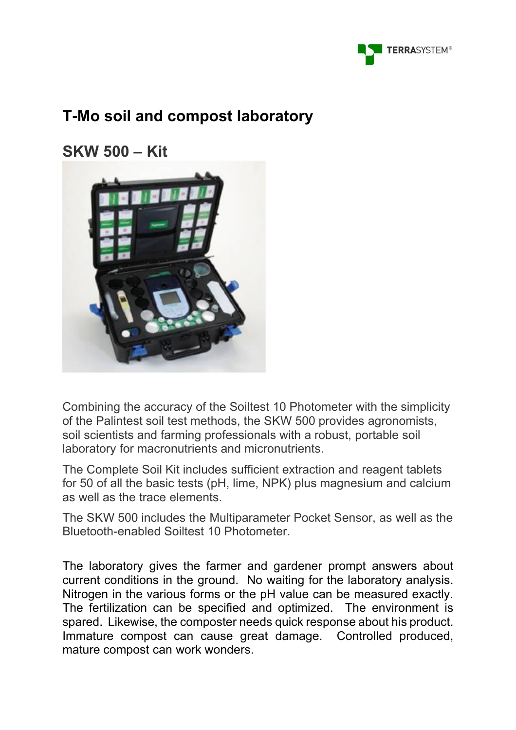

# **T-Mo soil and compost laboratory**

**SKW 500 – Kit**



Combining the accuracy of the Soiltest 10 Photometer with the simplicity of the Palintest soil test methods, the SKW 500 provides agronomists, soil scientists and farming professionals with a robust, portable soil laboratory for macronutrients and micronutrients.

The Complete Soil Kit includes sufficient extraction and reagent tablets for 50 of all the basic tests (pH, lime, NPK) plus magnesium and calcium as well as the trace elements.

The SKW 500 includes the Multiparameter Pocket Sensor, as well as the Bluetooth-enabled Soiltest 10 Photometer.

The laboratory gives the farmer and gardener prompt answers about current conditions in the ground. No waiting for the laboratory analysis. Nitrogen in the various forms or the pH value can be measured exactly. The fertilization can be specified and optimized. The environment is spared. Likewise, the composter needs quick response about his product. Immature compost can cause great damage. Controlled produced, mature compost can work wonders.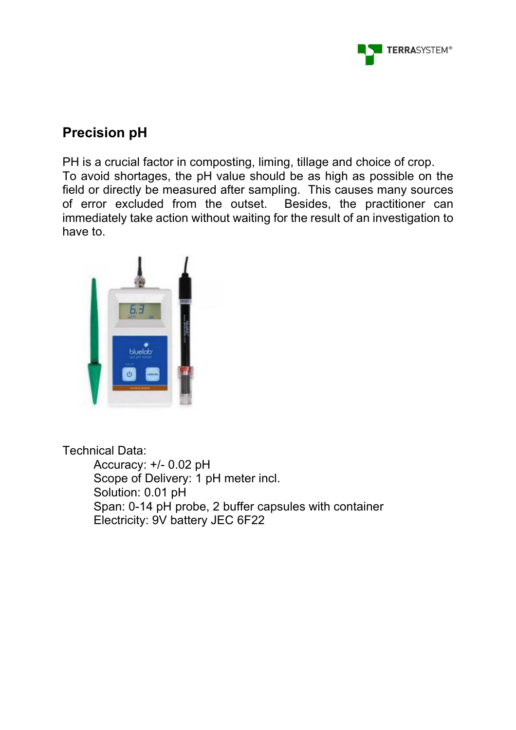

#### **Precision pH**

PH is a crucial factor in composting, liming, tillage and choice of crop. To avoid shortages, the pH value should be as high as possible on the field or directly be measured after sampling. This causes many sources of error excluded from the outset. Besides, the practitioner can immediately take action without waiting for the result of an investigation to have to.



Technical Data:

Accuracy: +/- 0.02 pH Scope of Delivery: 1 pH meter incl. Solution: 0.01 pH Span: 0-14 pH probe, 2 buffer capsules with container Electricity: 9V battery JEC 6F22